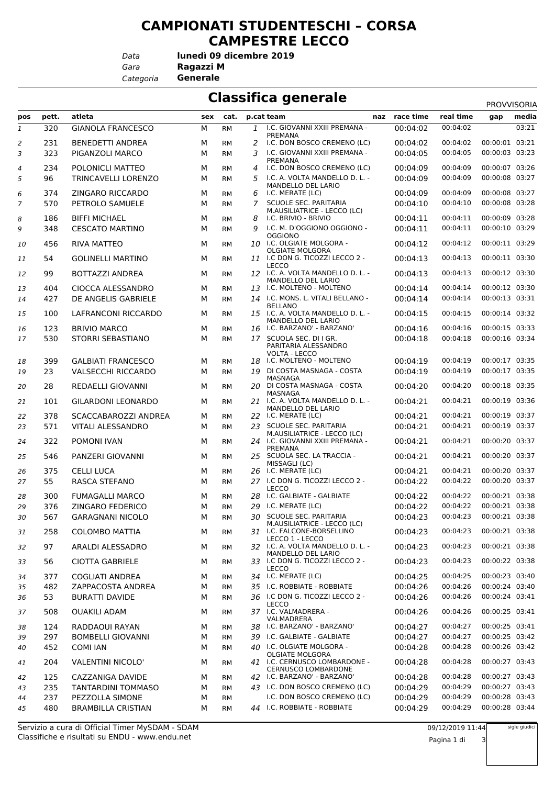## **CAMPIONATI STUDENTESCHI – CORSA CAMPESTRE LECCO**

*Data*

*Gara* **Ragazzi M lunedì 09 dicembre 2019**

*Categoria* **Generale**

## **Classifica generale** PROVIS

|                |       |                           |     |           |    |                                                                       |               |                      | <b>PROVVISORIA</b>               |       |
|----------------|-------|---------------------------|-----|-----------|----|-----------------------------------------------------------------------|---------------|----------------------|----------------------------------|-------|
| pos            | pett. | atleta                    | sex | cat.      |    | p.cat team                                                            | naz race time | real time            | gap                              | media |
| 1              | 320   | <b>GIANOLA FRANCESCO</b>  | М   | <b>RM</b> | 1  | I.C. GIOVANNI XXIII PREMANA -<br>PREMANA                              | 00:04:02      | 00:04:02             |                                  | 03:21 |
| $\overline{2}$ | 231   | <b>BENEDETTI ANDREA</b>   | М   | RM        | 2  | I.C. DON BOSCO CREMENO (LC)                                           | 00:04:02      | 00:04:02             | 00:00:01 03:21                   |       |
| 3              | 323   | PIGANZOLI MARCO           | М   | <b>RM</b> | 3  | I.C. GIOVANNI XXIII PREMANA -                                         | 00:04:05      | 00:04:05             | 00:00:03 03:23                   |       |
| $\overline{4}$ | 234   | POLONICLI MATTEO          | М   | <b>RM</b> | 4  | PREMANA<br>I.C. DON BOSCO CREMENO (LC)                                | 00:04:09      | 00:04:09             | 00:00:07 03:26                   |       |
| 5              | 96    | TRINCAVELLI LORENZO       | М   | <b>RM</b> | 5. | I.C. A. VOLTA MANDELLO D. L. -                                        | 00:04:09      | 00:04:09             | 00:00:08 03:27                   |       |
|                |       |                           |     |           |    | MANDELLO DEL LARIO                                                    |               |                      |                                  |       |
| 6              | 374   | ZINGARO RICCARDO          | М   | <b>RM</b> | 6  | I.C. MERATE (LC)                                                      | 00:04:09      | 00:04:09             | 00:00:08 03:27                   |       |
| $\overline{7}$ | 570   | PETROLO SAMUELE           | М   | <b>RM</b> | 7  | SCUOLE SEC. PARITARIA<br>M.AUSILIATRICE - LECCO (LC)                  | 00:04:10      | 00:04:10             | 00:00:08 03:28                   |       |
| 8              | 186   | <b>BIFFI MICHAEL</b>      | М   | <b>RM</b> | 8  | I.C. BRIVIO - BRIVIO                                                  | 00:04:11      | 00:04:11             | 00:00:09 03:28                   |       |
| 9              | 348   | <b>CESCATO MARTINO</b>    | М   | <b>RM</b> | 9  | I.C. M. D'OGGIONO OGGIONO -                                           | 00:04:11      | 00:04:11             | 00:00:10 03:29                   |       |
| 10             | 456   | RIVA MATTEO               | м   | <b>RM</b> |    | <b>OGGIONO</b><br>10 I.C. OLGIATE MOLGORA -<br><b>OLGIATE MOLGORA</b> | 00:04:12      | 00:04:12             | 00:00:11 03:29                   |       |
| 11             | 54    | <b>GOLINELLI MARTINO</b>  | М   | <b>RM</b> |    | 11 I.C DON G. TICOZZI LECCO 2 -                                       | 00:04:13      | 00:04:13             | 00:00:11 03:30                   |       |
| 12             | 99    | BOTTAZZI ANDREA           | М   | <b>RM</b> |    | <b>LECCO</b><br>12 I.C. A. VOLTA MANDELLO D. L. -                     | 00:04:13      | 00:04:13             | 00:00:12 03:30                   |       |
|                |       |                           |     |           |    | MANDELLO DEL LARIO                                                    |               |                      |                                  |       |
| 13             | 404   | <b>CIOCCA ALESSANDRO</b>  | М   | <b>RM</b> |    | 13 I.C. MOLTENO - MOLTENO<br>14 I.C. MONS. L. VITALI BELLANO -        | 00:04:14      | 00:04:14<br>00:04:14 | 00:00:12 03:30<br>00:00:13 03:31 |       |
| 14             | 427   | DE ANGELIS GABRIELE       | М   | <b>RM</b> |    | <b>BELLANO</b>                                                        | 00:04:14      |                      |                                  |       |
| 15             | 100   | LAFRANCONI RICCARDO       | м   | <b>RM</b> |    | 15 I.C. A. VOLTA MANDELLO D. L. -<br>MANDELLO DEL LARIO               | 00:04:15      | 00:04:15             | 00:00:14 03:32                   |       |
| 16             | 123   | <b>BRIVIO MARCO</b>       | М   | <b>RM</b> |    | 16 I.C. BARZANO' - BARZANO'                                           | 00:04:16      | 00:04:16             | 00:00:15 03:33                   |       |
| 17             | 530   | <b>STORRI SEBASTIANO</b>  | М   | <b>RM</b> |    | 17 SCUOLA SEC. DI I GR.<br>PARITARIA ALESSANDRO                       | 00:04:18      | 00:04:18             | 00:00:16 03:34                   |       |
| 18             | 399   | <b>GALBIATI FRANCESCO</b> | м   | <b>RM</b> |    | VOLTA - LECCO<br>18 I.C. MOLTENO - MOLTENO                            | 00:04:19      | 00:04:19             | 00:00:17 03:35                   |       |
| 19             | 23    | <b>VALSECCHI RICCARDO</b> | М   | <b>RM</b> | 19 | DI COSTA MASNAGA - COSTA                                              | 00:04:19      | 00:04:19             | 00:00:17 03:35                   |       |
| 20             | 28    | REDAELLI GIOVANNI         | м   | <b>RM</b> |    | MASNAGA<br>20 DI COSTA MASNAGA - COSTA                                | 00:04:20      | 00:04:20             | 00:00:18 03:35                   |       |
| 21             | 101   | <b>GILARDONI LEONARDO</b> | М   | <b>RM</b> |    | MASNAGA<br>21 I.C. A. VOLTA MANDELLO D. L. -                          | 00:04:21      | 00:04:21             | 00:00:19 03:36                   |       |
| 22             | 378   | SCACCABAROZZI ANDREA      | М   | <b>RM</b> |    | MANDELLO DEL LARIO<br>22 I.C. MERATE (LC)                             | 00:04:21      | 00:04:21             | 00:00:19 03:37                   |       |
| 23             | 571   | <b>VITALI ALESSANDRO</b>  | М   | <b>RM</b> | 23 | <b>SCUOLE SEC. PARITARIA</b>                                          | 00:04:21      | 00:04:21             | 00:00:19 03:37                   |       |
| 24             | 322   | POMONI IVAN               | М   | <b>RM</b> |    | M.AUSILIATRICE - LECCO (LC)<br>24 I.C. GIOVANNI XXIII PREMANA -       | 00:04:21      | 00:04:21             | 00:00:20 03:37                   |       |
| 25             | 546   | PANZERI GIOVANNI          | м   | <b>RM</b> |    | PREMANA<br>25 SCUOLA SEC. LA TRACCIA -                                | 00:04:21      | 00:04:21             | 00:00:20 03:37                   |       |
|                |       |                           |     |           |    | MISSAGLI (LC)                                                         |               |                      |                                  |       |
| 26             | 375   | <b>CELLI LUCA</b>         | м   | <b>RM</b> |    | 26 I.C. MERATE (LC)                                                   | 00:04:21      | 00:04:21             | 00:00:20 03:37                   |       |
| 27             | 55    | RASCA STEFANO             | М   | <b>RM</b> |    | 27 I.C DON G. TICOZZI LECCO 2 -<br><b>LECCO</b>                       | 00:04:22      | 00:04:22             | 00:00:20 03:37                   |       |
| 28             | 300   | <b>FUMAGALLI MARCO</b>    | м   | <b>RM</b> | 28 | I.C. GALBIATE - GALBIATE                                              | 00:04:22      | 00:04:22             | 00:00:21 03:38                   |       |
| 29             | 376   | ZINGARO FEDERICO          | М   | <b>RM</b> | 29 | I.C. MERATE (LC)                                                      | 00:04:22      | 00:04:22             | 00:00:21 03:38                   |       |
| 30             | 567   | <b>GARAGNANI NICOLO</b>   | М   | <b>RM</b> | 30 | <b>SCUOLE SEC. PARITARIA</b>                                          | 00:04:23      | 00:04:23             | 00:00:21 03:38                   |       |
| 31             | 258   | <b>COLOMBO MATTIA</b>     | м   | RM        |    | M.AUSILIATRICE - LECCO (LC)<br>31 I.C. FALCONE-BORSELLINO             | 00:04:23      | 00:04:23             | 00:00:21 03:38                   |       |
| 32             | 97    | ARALDI ALESSADRO          | м   | RM        |    | LECCO 1 - LECCO<br>32 I.C. A. VOLTA MANDELLO D. L. -                  | 00:04:23      | 00:04:23             | 00:00:21 03:38                   |       |
| 33             | 56    | <b>CIOTTA GABRIELE</b>    | м   | <b>RM</b> |    | MANDELLO DEL LARIO<br>33 I.C DON G. TICOZZI LECCO 2 -<br><b>LECCO</b> | 00:04:23      | 00:04:23             | 00:00:22 03:38                   |       |
| 34             | 377   | <b>COGLIATI ANDREA</b>    | м   | <b>RM</b> |    | 34 I.C. MERATE (LC)                                                   | 00:04:25      | 00:04:25             | 00:00:23 03:40                   |       |
| 35             | 482   | ZAPPACOSTA ANDREA         | М   | <b>RM</b> |    | 35 I.C. ROBBIATE - ROBBIATE                                           | 00:04:26      | 00:04:26             | 00:00:24 03:40                   |       |
| 36             | 53    | <b>BURATTI DAVIDE</b>     | м   | <b>RM</b> |    | 36 I.C DON G. TICOZZI LECCO 2 -                                       | 00:04:26      | 00:04:26             | 00:00:24 03:41                   |       |
| 37             | 508   | <b>OUAKILI ADAM</b>       | м   | <b>RM</b> |    | <b>LECCO</b><br>37 I.C. VALMADRERA -                                  | 00:04:26      | 00:04:26             | 00:00:25 03:41                   |       |
| 38             | 124   | RADDAOUI RAYAN            | М   | <b>RM</b> |    | VALMADRERA<br>38 I.C. BARZANO' - BARZANO'                             | 00:04:27      | 00:04:27             | 00:00:25 03:41                   |       |
| 39             | 297   | <b>BOMBELLI GIOVANNI</b>  | М   | <b>RM</b> |    | 39 I.C. GALBIATE - GALBIATE                                           | 00:04:27      | 00:04:27             | 00:00:25 03:42                   |       |
| 40             | 452   | <b>COMI IAN</b>           | м   | <b>RM</b> |    | 40 I.C. OLGIATE MOLGORA -                                             | 00:04:28      | 00:04:28             | 00:00:26 03:42                   |       |
| 41             | 204   | VALENTINI NICOLO'         | м   | <b>RM</b> |    | <b>OLGIATE MOLGORA</b><br>41 I.C. CERNUSCO LOMBARDONE -               | 00:04:28      | 00:04:28             | 00:00:27 03:43                   |       |
| 42             | 125   | CAZZANIGA DAVIDE          | м   | <b>RM</b> |    | <b>CERNUSCO LOMBARDONE</b><br>42 I.C. BARZANO' - BARZANO'             | 00:04:28      | 00:04:28             | 00:00:27 03:43                   |       |
| 43             | 235   | TANTARDINI TOMMASO        | м   | <b>RM</b> |    | 43 I.C. DON BOSCO CREMENO (LC)                                        | 00:04:29      | 00:04:29             | 00:00:27 03:43                   |       |
| 44             | 237   | PEZZOLLA SIMONE           | М   | <b>RM</b> |    | I.C. DON BOSCO CREMENO (LC)                                           | 00:04:29      | 00:04:29             | 00:00:28 03:43                   |       |
| 45             | 480   | <b>BRAMBILLA CRISTIAN</b> | м   | <b>RM</b> |    | 44 I.C. ROBBIATE - ROBBIATE                                           | 00:04:29      | 00:04:29             | 00:00:28 03:44                   |       |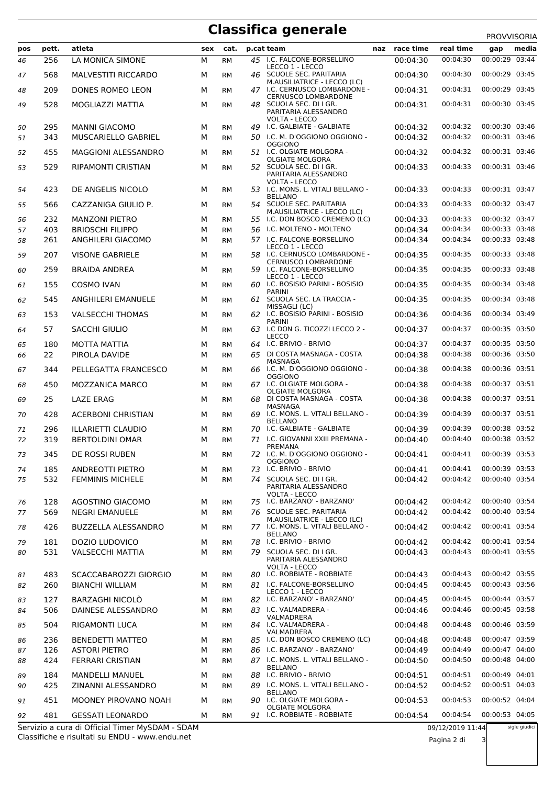## **Classifica generale**

|          |            |                                                  |        |                        |    |                                                                           |                      |                      | PROVVISORIA                      |       |
|----------|------------|--------------------------------------------------|--------|------------------------|----|---------------------------------------------------------------------------|----------------------|----------------------|----------------------------------|-------|
| pos      | pett.      | atleta                                           | sex    | cat.                   |    | p.cat team                                                                | naz race time        | real time            | gap                              | media |
| 46       | 256        | LA MONICA SIMONE                                 | М      | <b>RM</b>              | 45 | I.C. FALCONE-BORSELLINO<br>LECCO 1 - LECCO                                | 00:04:30             | 00:04:30             | 00:00:29 03:44                   |       |
| 47       | 568        | <b>MALVESTITI RICCARDO</b>                       | М      | <b>RM</b>              |    | 46 SCUOLE SEC. PARITARIA<br>M.AUSILIATRICE - LECCO (LC)                   | 00:04:30             | 00:04:30             | 00:00:29 03:45                   |       |
| 48       | 209        | DONES ROMEO LEON                                 | М      | <b>RM</b>              |    | 47 I.C. CERNUSCO LOMBARDONE -<br><b>CERNUSCO LOMBARDONE</b>               | 00:04:31             | 00:04:31             | 00:00:29 03:45                   |       |
| 49       | 528        | MOGLIAZZI MATTIA                                 | М      | <b>RM</b>              |    | 48 SCUOLA SEC. DI I GR.<br>PARITARIA ALESSANDRO<br><b>VOLTA - LECCO</b>   | 00:04:31             | 00:04:31             | 00:00:30 03:45                   |       |
| 50       | 295        | <b>MANNI GIACOMO</b>                             | М      | <b>RM</b>              |    | 49 I.C. GALBIATE - GALBIATE                                               | 00:04:32             | 00:04:32             | 00:00:30 03:46                   |       |
| 51       | 343        | <b>MUSCARIELLO GABRIEL</b>                       | м      | <b>RM</b>              |    | 50 I.C. M. D'OGGIONO OGGIONO -<br><b>OGGIONO</b>                          | 00:04:32             | 00:04:32             | 00:00:31 03:46                   |       |
| 52       | 455        | <b>MAGGIONI ALESSANDRO</b>                       | М      | <b>RM</b>              |    | 51 I.C. OLGIATE MOLGORA -<br><b>OLGIATE MOLGORA</b>                       | 00:04:32             | 00:04:32             | 00:00:31 03:46                   |       |
| 53       | 529        | <b>RIPAMONTI CRISTIAN</b>                        | М      | <b>RM</b>              |    | 52 SCUOLA SEC. DI I GR.<br>PARITARIA ALESSANDRO<br>VOLTA - LECCO          | 00:04:33             | 00:04:33             | 00:00:31 03:46                   |       |
| 54       | 423        | DE ANGELIS NICOLO                                | м      | <b>RM</b>              |    | 53 I.C. MONS. L. VITALI BELLANO -                                         | 00:04:33             | 00:04:33             | 00:00:31 03:47                   |       |
| 55       | 566        | CAZZANIGA GIULIO P.                              | М      | <b>RM</b>              |    | <b>BELLANO</b><br>54 SCUOLE SEC. PARITARIA<br>M.AUSILIATRICE - LECCO (LC) | 00:04:33             | 00:04:33             | 00:00:32 03:47                   |       |
| 56       | 232<br>403 | <b>MANZONI PIETRO</b><br><b>BRIOSCHI FILIPPO</b> | М<br>М | <b>RM</b>              |    | 55 I.C. DON BOSCO CREMENO (LC)<br>56 I.C. MOLTENO - MOLTENO               | 00:04:33<br>00:04:34 | 00:04:33<br>00:04:34 | 00:00:32 03:47<br>00:00:33 03:48 |       |
| 57<br>58 | 261        | ANGHILERI GIACOMO                                | М      | <b>RM</b><br><b>RM</b> |    | 57 I.C. FALCONE-BORSELLINO                                                | 00:04:34             | 00:04:34             | 00:00:33 03:48                   |       |
| 59       | 207        | <b>VISONE GABRIELE</b>                           | м      | <b>RM</b>              |    | LECCO 1 - LECCO<br>58 I.C. CERNUSCO LOMBARDONE -                          | 00:04:35             | 00:04:35             | 00:00:33 03:48                   |       |
|          | 259        |                                                  |        |                        |    | <b>CERNUSCO LOMBARDONE</b><br>59 I.C. FALCONE-BORSELLINO                  | 00:04:35             | 00:04:35             | 00:00:33 03:48                   |       |
| 60       |            | <b>BRAIDA ANDREA</b>                             | М      | <b>RM</b>              |    | LECCO 1 - LECCO                                                           |                      |                      |                                  |       |
| 61       | 155        | <b>COSMO IVAN</b>                                | М      | <b>RM</b>              |    | 60 I.C. BOSISIO PARINI - BOSISIO<br><b>PARINI</b>                         | 00:04:35             | 00:04:35             | 00:00:34 03:48                   |       |
| 62       | 545        | ANGHILERI EMANUELE                               | м      | <b>RM</b>              |    | 61 SCUOLA SEC. LA TRACCIA -<br>MISSAGLI (LC)                              | 00:04:35             | 00:04:35             | 00:00:34 03:48                   |       |
| 63       | 153        | <b>VALSECCHI THOMAS</b>                          | м      | <b>RM</b>              |    | 62 I.C. BOSISIO PARINI - BOSISIO<br><b>PARINI</b>                         | 00:04:36             | 00:04:36             | 00:00:34 03:49                   |       |
| 64       | 57         | <b>SACCHI GIULIO</b>                             | М      | <b>RM</b>              |    | 63 I.C DON G. TICOZZI LECCO 2 -<br>LECCO                                  | 00:04:37             | 00:04:37             | 00:00:35 03:50                   |       |
| 65       | 180        | <b>MOTTA MATTIA</b>                              | М      | <b>RM</b>              |    | 64 I.C. BRIVIO - BRIVIO                                                   | 00:04:37             | 00:04:37             | 00:00:35 03:50                   |       |
| 66       | 22         | PIROLA DAVIDE                                    | М      | <b>RM</b>              |    | 65 DI COSTA MASNAGA - COSTA<br>MASNAGA                                    | 00:04:38             | 00:04:38             | 00:00:36 03:50                   |       |
| 67       | 344        | PELLEGATTA FRANCESCO                             | м      | <b>RM</b>              |    | 66 I.C. M. D'OGGIONO OGGIONO -<br><b>OGGIONO</b>                          | 00:04:38             | 00:04:38             | 00:00:36 03:51                   |       |
| 68       | 450        | MOZZANICA MARCO                                  | м      | <b>RM</b>              |    | 67 I.C. OLGIATE MOLGORA -<br><b>OLGIATE MOLGORA</b>                       | 00:04:38             | 00:04:38             | 00:00:37 03:51                   |       |
| 69       | 25         | <b>LAZE ERAG</b>                                 | М      | <b>RM</b>              |    | 68 DI COSTA MASNAGA - COSTA<br>MASNAGA                                    | 00:04:38             | 00:04:38             | 00:00:37 03:51                   |       |
| 70       | 428        | <b>ACERBONI CHRISTIAN</b>                        | м      | <b>RM</b>              |    | 69 I.C. MONS. L. VITALI BELLANO -<br><b>BELLANO</b>                       | 00:04:39             | 00:04:39             | 00:00:37 03:51                   |       |
| 71       | 296        | <b>ILLARIETTI CLAUDIO</b>                        | М      | <b>RM</b>              |    | 70 I.C. GALBIATE - GALBIATE                                               | 00:04:39             | 00:04:39             | 00:00:38 03:52                   |       |
| 72       | 319        | <b>BERTOLDINI OMAR</b>                           | м      | <b>RM</b>              |    | 71 I.C. GIOVANNI XXIII PREMANA -<br>PREMANA                               | 00:04:40             | 00:04:40             | 00:00:38 03:52                   |       |
| 73       | 345        | DE ROSSI RUBEN                                   | M      | <b>RM</b>              |    | 72 I.C. M. D'OGGIONO OGGIONO -<br><b>OGGIONO</b>                          | 00:04:41             | 00:04:41             | 00:00:39 03:53                   |       |
| 74       | 185        | <b>ANDREOTTI PIETRO</b>                          | м      | <b>RM</b>              |    | 73 I.C. BRIVIO - BRIVIO                                                   | 00:04:41             | 00:04:41             | 00:00:39 03:53                   |       |
| 75       | 532        | <b>FEMMINIS MICHELE</b>                          | М      | <b>RM</b>              |    | 74 SCUOLA SEC. DI I GR.<br>PARITARIA ALESSANDRO<br><b>VOLTA - LECCO</b>   | 00:04:42             | 00:04:42             | 00:00:40 03:54                   |       |
| 76       | 128        | AGOSTINO GIACOMO                                 | М      | RM                     |    | 75 I.C. BARZANO' - BARZANO'                                               | 00:04:42             | 00:04:42             | 00:00:40 03:54                   |       |
| 77       | 569        | <b>NEGRI EMANUELE</b>                            | м      | <b>RM</b>              |    | 76 SCUOLE SEC. PARITARIA<br>M.AUSILIATRICE - LECCO (LC)                   | 00:04:42             | 00:04:42             | 00:00:40 03:54                   |       |
| 78       | 426        | <b>BUZZELLA ALESSANDRO</b>                       | м      | <b>RM</b>              |    | 77 I.C. MONS. L. VITALI BELLANO -<br><b>BELLANO</b>                       | 00:04:42             | 00:04:42             | 00:00:41 03:54                   |       |
| 79       | 181        | DOZIO LUDOVICO                                   | м      | <b>RM</b>              |    | 78 I.C. BRIVIO - BRIVIO                                                   | 00:04:42             | 00:04:42             | 00:00:41 03:54                   |       |
| 80       | 531        | <b>VALSECCHI MATTIA</b>                          | М      | <b>RM</b>              |    | 79 SCUOLA SEC. DI I GR.<br>PARITARIA ALESSANDRO<br>VOLTA - LECCO          | 00:04:43             | 00:04:43             | 00:00:41 03:55                   |       |
| 81       | 483        | SCACCABAROZZI GIORGIO<br><b>BIANCHI WILLIAM</b>  | М      | RM                     |    | 80 I.C. ROBBIATE - ROBBIATE<br>81 I.C. FALCONE-BORSELLINO                 | 00:04:43<br>00:04:45 | 00:04:43<br>00:04:45 | 00:00:42 03:55<br>00:00:43 03:56 |       |
| 82       | 260        |                                                  | м      | <b>RM</b>              |    | LECCO 1 - LECCO                                                           |                      |                      |                                  |       |
| 83<br>84 | 127<br>506 | <b>BARZAGHI NICOLÒ</b><br>DAINESE ALESSANDRO     | М<br>м | <b>RM</b><br>RM        |    | 82 I.C. BARZANO' - BARZANO'<br>83 I.C. VALMADRERA -                       | 00:04:45<br>00:04:46 | 00:04:45<br>00:04:46 | 00:00:44 03:57<br>00:00:45 03:58 |       |
| 85       | 504        | <b>RIGAMONTI LUCA</b>                            | М      | RМ                     |    | VALMADRERA<br>84 I.C. VALMADRERA -<br>VALMADRERA                          | 00:04:48             | 00:04:48             | 00:00:46 03:59                   |       |
| 86       | 236        | <b>BENEDETTI MATTEO</b>                          | м      | <b>RM</b>              |    | 85 I.C. DON BOSCO CREMENO (LC)                                            | 00:04:48             | 00:04:48             | 00:00:47 03:59                   |       |
| 87       | 126        | <b>ASTORI PIETRO</b>                             | М      | <b>RM</b>              |    | 86 I.C. BARZANO' - BARZANO'                                               | 00:04:49             | 00:04:49             | 00:00:47 04:00                   |       |
| 88       | 424        | <b>FERRARI CRISTIAN</b>                          | м      | <b>RM</b>              |    | 87 I.C. MONS. L. VITALI BELLANO -<br><b>BELLANO</b>                       | 00:04:50             | 00:04:50             | 00:00:48 04:00                   |       |
| 89       | 184        | MANDELLI MANUEL                                  | М      | RM                     | 88 | I.C. BRIVIO - BRIVIO<br>89 I.C. MONS. L. VITALI BELLANO -                 | 00:04:51             | 00:04:51<br>00:04:52 | 00:00:49 04:01<br>00:00:51 04:03 |       |
| 90       | 425        | ZINANNI ALESSANDRO                               | м      | <b>RM</b>              |    | <b>BELLANO</b>                                                            | 00:04:52             |                      |                                  |       |
| 91       | 451        | MOONEY PIROVANO NOAH                             | м      | <b>RM</b>              |    | 90 I.C. OLGIATE MOLGORA -<br><b>OLGIATE MOLGORA</b>                       | 00:04:53             | 00:04:53             | 00:00:52 04:04                   |       |
| 92       | 481        | <b>GESSATI LEONARDO</b>                          | м      | <b>RM</b>              |    | 91 I.C. ROBBIATE - ROBBIATE                                               | 00:04:54             | 00:04:54             | 00:00:53 04:05                   |       |

Classifiche e risultati su ENDU - www.endu.net Servizio a cura di Official Timer MySDAM - SDAM sigle giudici